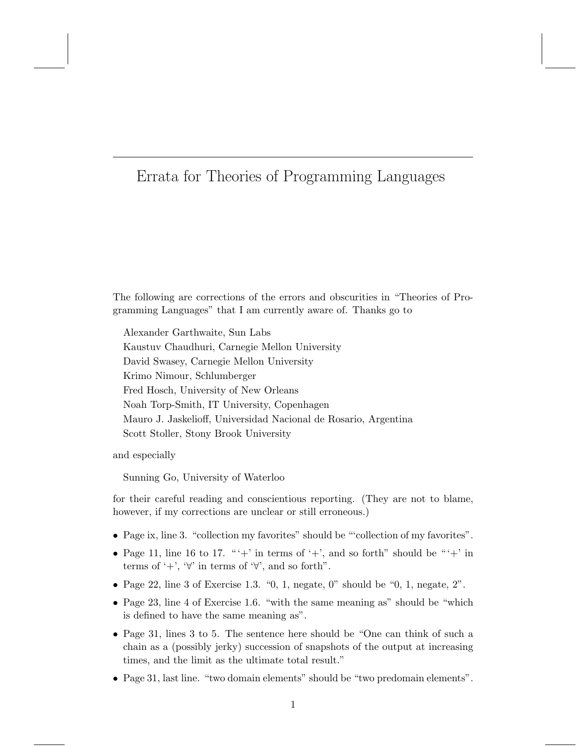## Errata for Theories of Programming Languages

The following are corrections of the errors and obscurities in "Theories of Programming Languages" that I am currently aware of. Thanks go to

Alexander Garthwaite, Sun Labs Kaustuv Chaudhuri, Carnegie Mellon University David Swasey, Carnegie Mellon University Krimo Nimour, Schlumberger Fred Hosch, University of New Orleans Noah Torp-Smith, IT University, Copenhagen Mauro J. Jaskelioff, Universidad Nacional de Rosario, Argentina Scott Stoller, Stony Brook University

and especially

Sunning Go, University of Waterloo

for their careful reading and conscientious reporting. (They are not to blame, however, if my corrections are unclear or still erroneous.)

- Page ix, line 3. "collection my favorites" should be "'collection of my favorites".
- Page 11, line 16 to 17. " $'$  in terms of  $'$  +', and so forth'' should be " $'$  +' in terms of '+', ' $\forall$ ' in terms of ' $\forall$ ', and so forth".
- Page 22, line 3 of Exercise 1.3.  $\degree$ 0, 1, negate, 0" should be  $\degree$ 0, 1, negate, 2".
- Page 23, line 4 of Exercise 1.6. "with the same meaning as" should be "which is defined to have the same meaning as".
- Page 31, lines 3 to 5. The sentence here should be "One can think of such a chain as a (possibly jerky) succession of snapshots of the output at increasing times, and the limit as the ultimate total result."
- Page 31, last line. "two domain elements" should be "two predomain elements".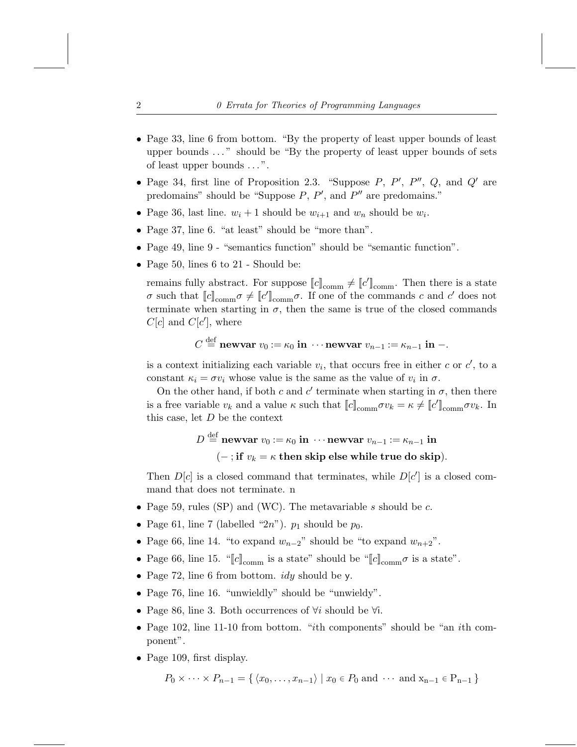- Page 33, line 6 from bottom. "By the property of least upper bounds of least upper bounds . . . " should be "By the property of least upper bounds of sets of least upper bounds . . . ".
- Page 34, first line of Proposition 2.3. "Suppose  $P$ ,  $P'$ ,  $P''$ ,  $Q$ , and  $Q'$  are predomains" should be "Suppose  $P$ ,  $P'$ , and  $P''$  are predomains."
- Page 36, last line.  $w_i + 1$  should be  $w_{i+1}$  and  $w_n$  should be  $w_i$ .
- Page 37, line 6. "at least" should be "more than".
- Page 49, line 9 "semantics function" should be "semantic function".
- Page 50, lines 6 to 21 Should be:

remains fully abstract. For suppose  $\llbracket c \rrbracket_{\text{comm}} \neq \llbracket c' \rrbracket_{\text{comm}}$ . Then there is a state σ such that  $[[c]]_{\text{comm}} \sigma \neq [[c]]_{\text{comm}} \sigma$ . If one of the commands c and c' does not terminate when starting in  $\sigma$ , then the same is true of the closed commands  $C[c]$  and  $C[c']$ , where

$$
C \stackrel{\text{def}}{=} \textbf{newvar } v_0 := \kappa_0 \textbf{ in } \cdots \textbf{newvar } v_{n-1} := \kappa_{n-1} \textbf{ in } -.
$$

is a context initializing each variable  $v_i$ , that occurs free in either c or  $c'$ , to a constant  $\kappa_i = \sigma v_i$  whose value is the same as the value of  $v_i$  in  $\sigma$ .

On the other hand, if both c and c' terminate when starting in  $\sigma$ , then there is a free variable  $v_k$  and a value  $\kappa$  such that  $[[c]]_{\text{comm}} \sigma v_k = \kappa \neq [[c]]_{\text{comm}} \sigma v_k$ . In this case, let  $D$  be the context

$$
D \stackrel{\text{def}}{=} \text{newvar } v_0 := \kappa_0 \text{ in } \cdots \text{newvar } v_{n-1} := \kappa_{n-1} \text{ in}
$$
  

$$
(-; \text{if } v_k = \kappa \text{ then skip else while true do skip}).
$$

Then  $D[c]$  is a closed command that terminates, while  $D[c']$  is a closed command that does not terminate. n

- Page 59, rules (SP) and (WC). The metavariable s should be  $c$ .
- Page 61, line 7 (labelled " $2n$ ").  $p_1$  should be  $p_0$ .
- Page 66, line 14. "to expand  $w_{n-2}$ " should be "to expand  $w_{n+2}$ ".
- Page 66, line 15. " $[c]_{\text{comm}}$  is a state" should be " $[c]_{\text{comm}}\sigma$  is a state".
- Page 72, line 6 from bottom.  $idy$  should be y.
- Page 76, line 16. "unwieldly" should be "unwieldy".
- Page 86, line 3. Both occurrences of  $\forall i$  should be  $\forall i$ .
- Page 102, line 11-10 from bottom. "ith components" should be "an ith component".
- Page 109, first display.

$$
P_0 \times \cdots \times P_{n-1} = \{ \langle x_0, \ldots, x_{n-1} \rangle \mid x_0 \in P_0 \text{ and } \cdots \text{ and } x_{n-1} \in P_{n-1} \}
$$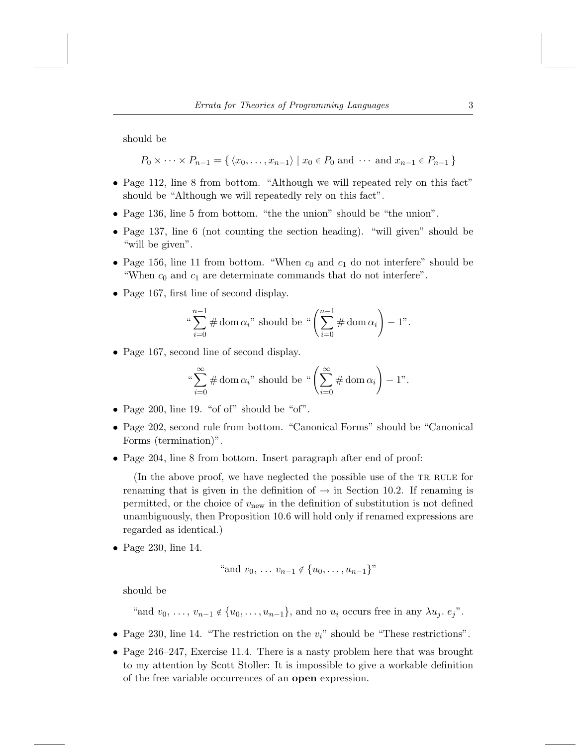should be

 $P_0 \times \cdots \times P_{n-1} = \{ \langle x_0, \ldots, x_{n-1} \rangle \mid x_0 \in P_0 \text{ and } \cdots \text{ and } x_{n-1} \in P_{n-1} \}$ 

- Page 112, line 8 from bottom. "Although we will repeated rely on this fact" should be "Although we will repeatedly rely on this fact".
- Page 136, line 5 from bottom. "the the union" should be "the union".
- Page 137, line 6 (not counting the section heading). "will given" should be "will be given".
- Page 156, line 11 from bottom. "When  $c_0$  and  $c_1$  do not interfere" should be "When  $c_0$  and  $c_1$  are determinate commands that do not interfere".
- Page 167, first line of second display.

$$
\sqrt[n-1]{\sum_{i=0}^{n-1} \# \text{ dom }\alpha_i}
$$
 should be 
$$
\sqrt[n-1]{\sum_{i=0}^{n-1} \# \text{ dom }\alpha_i} - 1
$$
.

• Page 167, second line of second display.

"\n
$$
\sum_{i=0}^{\infty} \# \text{ dom } \alpha_i
$$
" should be "
$$
\left(\sum_{i=0}^{\infty} \# \text{ dom } \alpha_i\right) - 1
$$
".

- Page 200, line 19. "of of" should be "of".
- Page 202, second rule from bottom. "Canonical Forms" should be "Canonical Forms (termination)".
- Page 204, line 8 from bottom. Insert paragraph after end of proof:

(In the above proof, we have neglected the possible use of the TR RULE for renaming that is given in the definition of  $\rightarrow$  in Section 10.2. If renaming is permitted, or the choice of  $v<sub>new</sub>$  in the definition of substitution is not defined unambiguously, then Proposition 10.6 will hold only if renamed expressions are regarded as identical.)

• Page 230, line 14.

" and 
$$
v_0, \ldots v_{n-1} \notin \{u_0, \ldots, u_{n-1}\}
$$
"

should be

"and  $v_0, \ldots, v_{n-1} \notin \{u_0, \ldots, u_{n-1}\},$  and no  $u_i$  occurs free in any  $\lambda u_i$ .  $e_i$ ".

- Page 230, line 14. "The restriction on the  $v_i$ " should be "These restrictions".
- Page 246–247, Exercise 11.4. There is a nasty problem here that was brought to my attention by Scott Stoller: It is impossible to give a workable definition of the free variable occurrences of an open expression.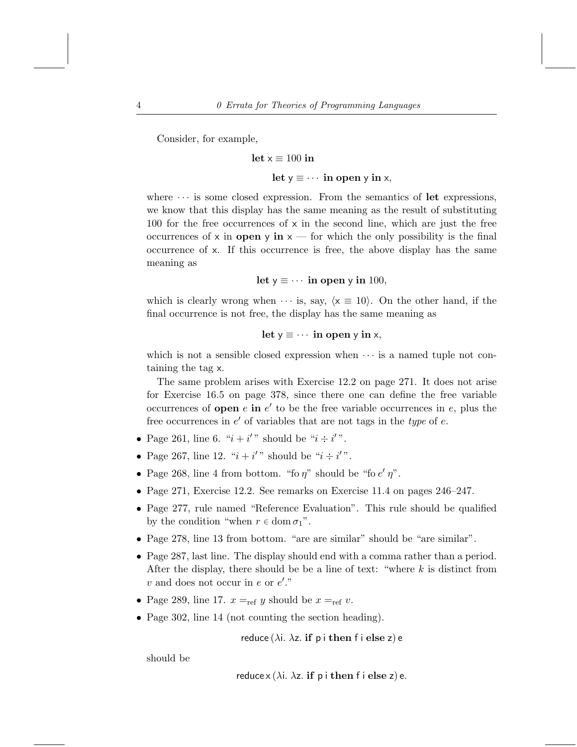Consider, for example,

$$
let x \equiv 100 in
$$
  

$$
let y \equiv \cdots in open y in x,
$$

where  $\cdots$  is some closed expression. From the semantics of let expressions, we know that this display has the same meaning as the result of substituting 100 for the free occurrences of  $x$  in the second line, which are just the free occurrences of x in **open** y in  $x$  — for which the only possibility is the final occurrence of x. If this occurrence is free, the above display has the same meaning as

## let  $y \equiv \cdots$  in open y in 100,

which is clearly wrong when  $\cdots$  is, say,  $\langle x \equiv 10 \rangle$ . On the other hand, if the final occurrence is not free, the display has the same meaning as

$$
let y \equiv \cdots \text{ in open } y \text{ in } x,
$$

which is not a sensible closed expression when  $\cdots$  is a named tuple not containing the tag x.

The same problem arises with Exercise 12.2 on page 271. It does not arise for Exercise 16.5 on page 378, since there one can define the free variable occurrences of **open**  $e$  in  $e'$  to be the free variable occurrences in  $e$ , plus the free occurrences in  $e'$  of variables that are not tags in the type of  $e$ .

- Page 261, line 6. " $i + i'$ " should be " $i \div i'$ ".
- Page 267, line 12. " $i + i'$ " should be " $i \div i'$ ".
- Page 268, line 4 from bottom. "fo  $\eta$ " should be "fo  $e'$   $\eta$ ".
- Page 271, Exercise 12.2. See remarks on Exercise 11.4 on pages 246–247.
- Page 277, rule named "Reference Evaluation". This rule should be qualified by the condition "when  $r \in \text{dom } \sigma_1$ ".
- Page 278, line 13 from bottom. "are are similar" should be "are similar".
- Page 287, last line. The display should end with a comma rather than a period. After the display, there should be be a line of text: "where  $k$  is distinct from  $v$  and does not occur in  $e$  or  $e'$ ."
- Page 289, line 17.  $x =_{ref} y$  should be  $x =_{ref} v$ .
- Page 302, line 14 (not counting the section heading).

reduce ( $\lambda$ i.  $\lambda$ z. if p i then f i else z) e

should be

reduce  $x(\lambda i. \lambda z.$  if p i then f i else z) e.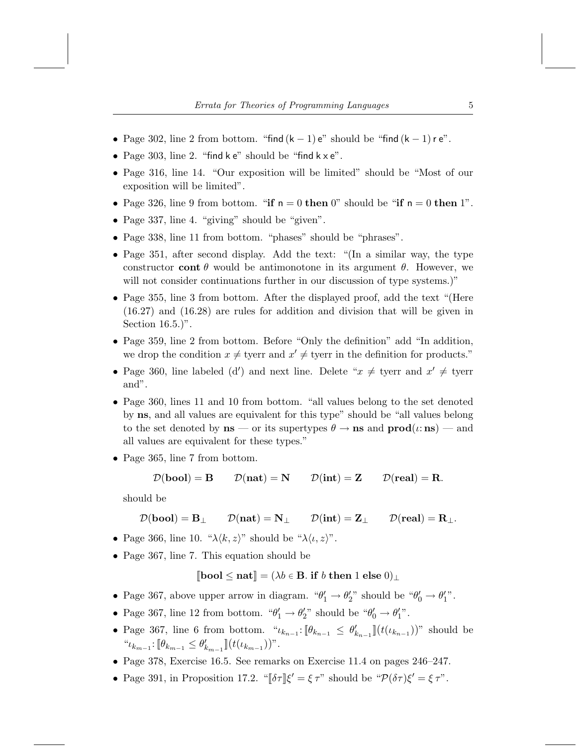- Page 302, line 2 from bottom. "find  $(k-1)$  e" should be "find  $(k-1)$  r e".
- Page 303, line 2. "find  $k e$ " should be "find  $k \times e$ ".
- Page 316, line 14. "Our exposition will be limited" should be "Most of our exposition will be limited".
- Page 326, line 9 from bottom. "if  $n = 0$  then 0" should be "if  $n = 0$  then 1".
- Page 337, line 4. "giving" should be "given".
- Page 338, line 11 from bottom. "phases" should be "phrases".
- Page 351, after second display. Add the text: "(In a similar way, the type constructor cont  $\theta$  would be antimonotone in its argument  $\theta$ . However, we will not consider continuations further in our discussion of type systems.)"
- Page 355, line 3 from bottom. After the displayed proof, add the text "(Here (16.27) and (16.28) are rules for addition and division that will be given in Section 16.5.)".
- Page 359, line 2 from bottom. Before "Only the definition" add "In addition, we drop the condition  $x \neq$  tyerr and  $x' \neq$  tyerr in the definition for products."
- Page 360, line labeled (d') and next line. Delete " $x \neq$  tyerr and  $x' \neq$  tyerr and".
- Page 360, lines 11 and 10 from bottom. "all values belong to the set denoted by ns, and all values are equivalent for this type" should be "all values belong to the set denoted by  $\mathbf{ns}$  — or its supertypes  $\theta \to \mathbf{ns}$  and  $\mathbf{prod}(\iota : \mathbf{ns})$  — and all values are equivalent for these types."
- Page 365, line 7 from bottom.

 $\mathcal{D}(\text{bool}) = B$   $\mathcal{D}(\text{nat}) = N$   $\mathcal{D}(\text{int}) = Z$   $\mathcal{D}(\text{real}) = R$ .

should be

$$
\mathcal{D}(\mathbf{bool}) = \mathbf{B}_{\perp} \qquad \mathcal{D}(\mathbf{nat}) = \mathbf{N}_{\perp} \qquad \mathcal{D}(\mathbf{int}) = \mathbf{Z}_{\perp} \qquad \mathcal{D}(\mathbf{real}) = \mathbf{R}_{\perp}.
$$

- Page 366, line 10. " $\lambda \langle k, z \rangle$ " should be " $\lambda \langle \iota, z \rangle$ ".
- Page 367, line 7. This equation should be

 $[\text{bool} \leq \text{nat}] = (\lambda b \in \mathbf{B}$ . if b then 1 else  $0|_+$ 

- Page 367, above upper arrow in diagram. " $\theta'_1 \rightarrow \theta'_2$ " should be " $\theta'_0 \rightarrow \theta'_1$ ".
- Page 367, line 12 from bottom. " $\theta'_1 \rightarrow \theta'_2$ " should be " $\theta'_0 \rightarrow \theta'_1$ ".
- Page 367, line 6 from bottom. " $\iota_{k_{n-1}}: [\theta_{k_{n-1}} \leq \theta'_{k_{n-1}}]$  ( $t(\iota_{k_{n-1}})$ )" should be  $``\iota_{k_{m-1}} \colon [\![\theta_{k_{m-1}} \leq \theta'_{k_{m-1}}]\!](t(\iota_{k_{m-1}}))".$
- Page 378, Exercise 16.5. See remarks on Exercise 11.4 on pages 246–247.
- Page 391, in Proposition 17.2. " $\|\delta\tau\| \xi' = \xi \tau$ " should be " $\mathcal{P}(\delta\tau) \xi' = \xi \tau$ ".